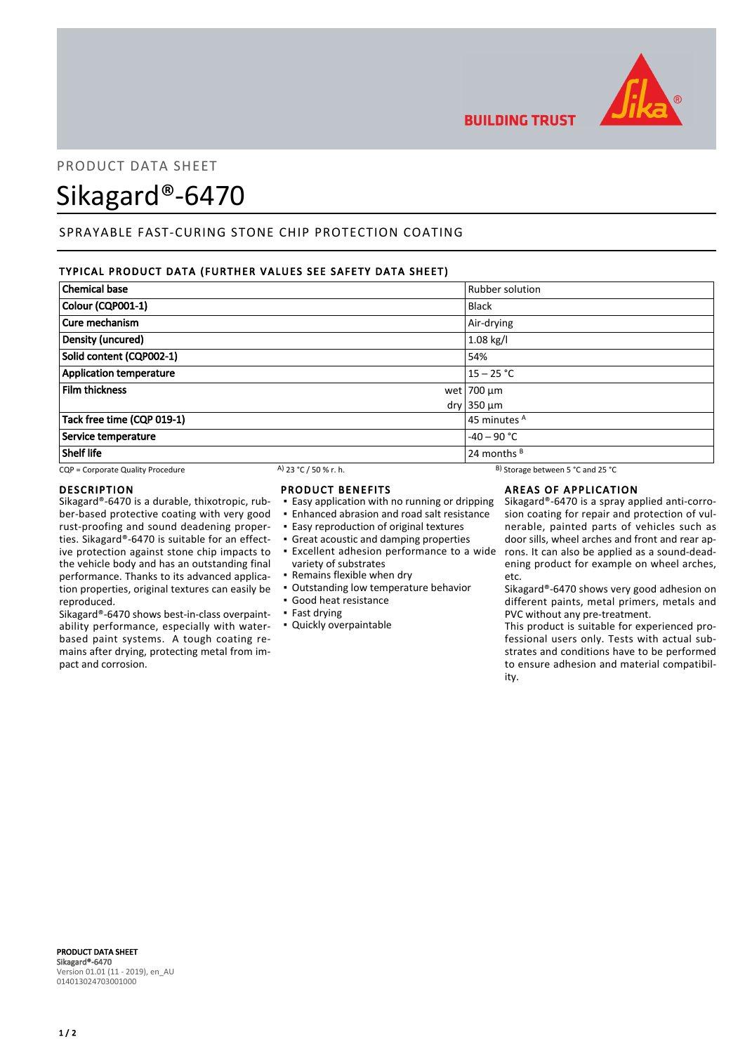

# PRODUCT DATA SHEFT

# Sikagard®-6470

# SPRAYABLE FAST-CURING STONE CHIP PROTECTION COATING

# TYPICAL PRODUCT DATA (FURTHER VALUES SEE SAFETY DATA SHEET)

| <b>Chemical base</b>              |                         |  | <b>Rubber solution</b>            |
|-----------------------------------|-------------------------|--|-----------------------------------|
| Colour (CQP001-1)                 |                         |  | <b>Black</b>                      |
| Cure mechanism                    |                         |  | Air-drying                        |
| Density (uncured)                 |                         |  | $1.08$ kg/l                       |
| Solid content (CQP002-1)<br>54%   |                         |  |                                   |
| <b>Application temperature</b>    |                         |  | $15 - 25 °C$                      |
| <b>Film thickness</b>             |                         |  | wet $ 700 \mu m$                  |
|                                   |                         |  | $dry$ 350 $µm$                    |
| Tack free time (CQP 019-1)        | 45 minutes <sup>A</sup> |  |                                   |
| Service temperature               |                         |  | $-40 - 90$ °C                     |
| <b>Shelf life</b>                 |                         |  | 24 months $B$                     |
| CQP = Corporate Quality Procedure | A) 23 °C / 50 % r. h.   |  | B) Storage between 5 °C and 25 °C |

### DESCRIPTION

Sikagard®-6470 is a durable, thixotropic, rubber-based protective coating with very good rust-proofing and sound deadening properties. Sikagard®-6470 is suitable for an effective protection against stone chip impacts to the vehicle body and has an outstanding final performance. Thanks to its advanced application properties, original textures can easily be reproduced.

Sikagard®-6470 shows best-in-class overpaintability performance, especially with waterbased paint systems. A tough coating remains after drying, protecting metal from impact and corrosion.

# PRODUCT BENEFITS

- **Easy application with no running or dripping**
- Enhanced abrasion and road salt resistance
- **Easy reproduction of original textures**
- Great acoustic and damping properties
- variety of substrates
- **Remains flexible when dry**
- Outstanding low temperature behavior
- Good heat resistance
- Fast drying
- Quickly overpaintable

**BUILDING TRUST** 

# AREAS OF APPLICATION

**Excellent adhesion performance to a wide** rons. It can also be applied as a sound-dead-Sikagard®-6470 is a spray applied anti-corrosion coating for repair and protection of vulnerable, painted parts of vehicles such as door sills, wheel arches and front and rear apening product for example on wheel arches, etc.

> Sikagard®-6470 shows very good adhesion on different paints, metal primers, metals and PVC without any pre-treatment.

> This product is suitable for experienced professional users only. Tests with actual substrates and conditions have to be performed to ensure adhesion and material compatibility.